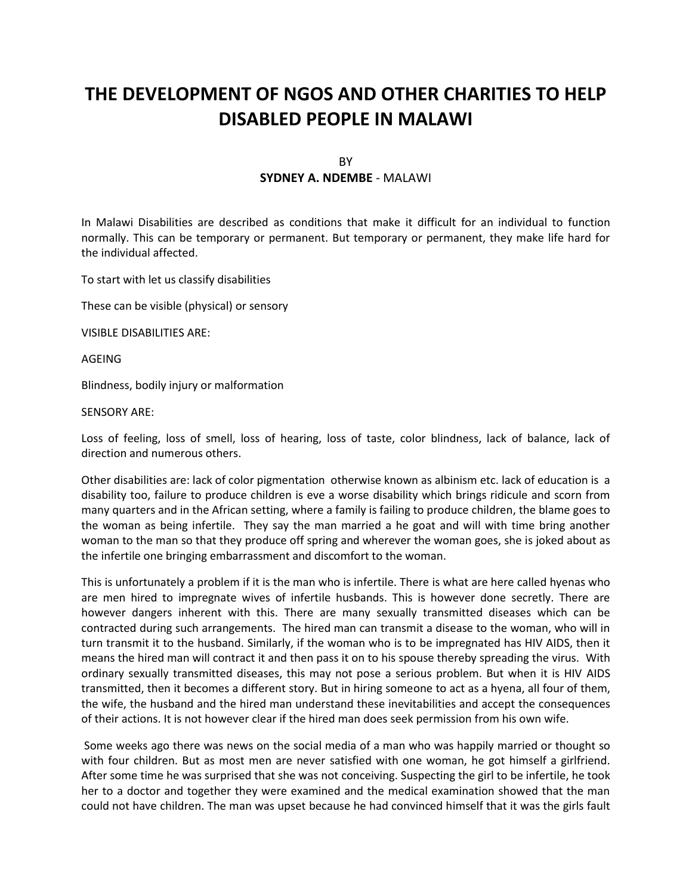# **THE DEVELOPMENT OF NGOS AND OTHER CHARITIES TO HELP DISABLED PEOPLE IN MALAWI**

# BY **SYDNEY A. NDEMBE** - MALAWI

In Malawi Disabilities are described as conditions that make it difficult for an individual to function normally. This can be temporary or permanent. But temporary or permanent, they make life hard for the individual affected.

To start with let us classify disabilities

These can be visible (physical) or sensory

VISIBLE DISABILITIES ARE:

AGEING

Blindness, bodily injury or malformation

SENSORY ARE:

Loss of feeling, loss of smell, loss of hearing, loss of taste, color blindness, lack of balance, lack of direction and numerous others.

Other disabilities are: lack of color pigmentation otherwise known as albinism etc. lack of education is a disability too, failure to produce children is eve a worse disability which brings ridicule and scorn from many quarters and in the African setting, where a family is failing to produce children, the blame goes to the woman as being infertile. They say the man married a he goat and will with time bring another woman to the man so that they produce off spring and wherever the woman goes, she is joked about as the infertile one bringing embarrassment and discomfort to the woman.

This is unfortunately a problem if it is the man who is infertile. There is what are here called hyenas who are men hired to impregnate wives of infertile husbands. This is however done secretly. There are however dangers inherent with this. There are many sexually transmitted diseases which can be contracted during such arrangements. The hired man can transmit a disease to the woman, who will in turn transmit it to the husband. Similarly, if the woman who is to be impregnated has HIV AIDS, then it means the hired man will contract it and then pass it on to his spouse thereby spreading the virus. With ordinary sexually transmitted diseases, this may not pose a serious problem. But when it is HIV AIDS transmitted, then it becomes a different story. But in hiring someone to act as a hyena, all four of them, the wife, the husband and the hired man understand these inevitabilities and accept the consequences of their actions. It is not however clear if the hired man does seek permission from his own wife.

 Some weeks ago there was news on the social media of a man who was happily married or thought so with four children. But as most men are never satisfied with one woman, he got himself a girlfriend. After some time he was surprised that she was not conceiving. Suspecting the girl to be infertile, he took her to a doctor and together they were examined and the medical examination showed that the man could not have children. The man was upset because he had convinced himself that it was the girls fault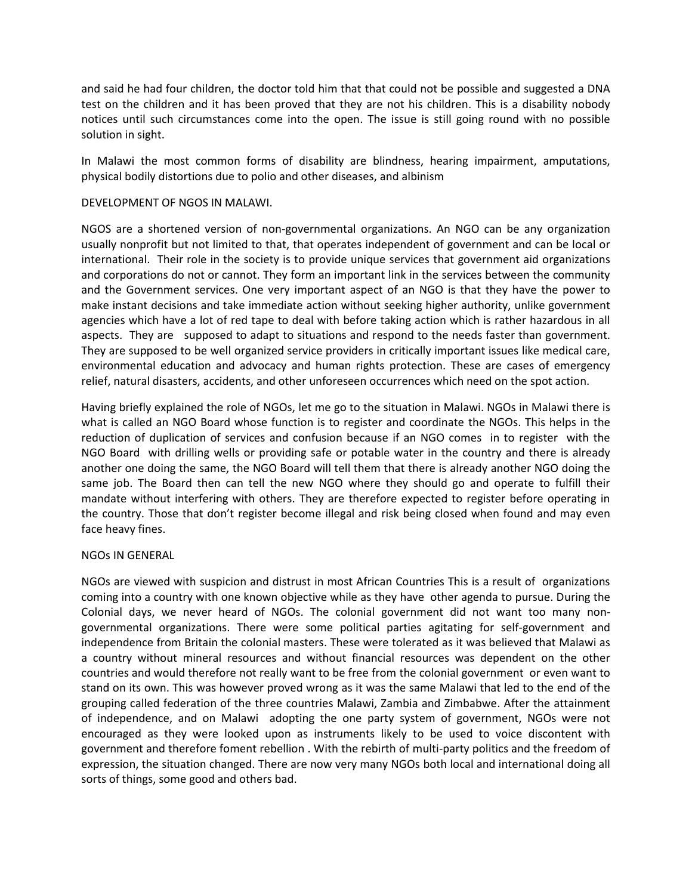and said he had four children, the doctor told him that that could not be possible and suggested a DNA test on the children and it has been proved that they are not his children. This is a disability nobody notices until such circumstances come into the open. The issue is still going round with no possible solution in sight.

In Malawi the most common forms of disability are blindness, hearing impairment, amputations, physical bodily distortions due to polio and other diseases, and albinism

#### DEVELOPMENT OF NGOS IN MALAWI.

NGOS are a shortened version of non-governmental organizations. An NGO can be any organization usually nonprofit but not limited to that, that operates independent of government and can be local or international. Their role in the society is to provide unique services that government aid organizations and corporations do not or cannot. They form an important link in the services between the community and the Government services. One very important aspect of an NGO is that they have the power to make instant decisions and take immediate action without seeking higher authority, unlike government agencies which have a lot of red tape to deal with before taking action which is rather hazardous in all aspects. They are supposed to adapt to situations and respond to the needs faster than government. They are supposed to be well organized service providers in critically important issues like medical care, environmental education and advocacy and human rights protection. These are cases of emergency relief, natural disasters, accidents, and other unforeseen occurrences which need on the spot action.

Having briefly explained the role of NGOs, let me go to the situation in Malawi. NGOs in Malawi there is what is called an NGO Board whose function is to register and coordinate the NGOs. This helps in the reduction of duplication of services and confusion because if an NGO comes in to register with the NGO Board with drilling wells or providing safe or potable water in the country and there is already another one doing the same, the NGO Board will tell them that there is already another NGO doing the same job. The Board then can tell the new NGO where they should go and operate to fulfill their mandate without interfering with others. They are therefore expected to register before operating in the country. Those that don't register become illegal and risk being closed when found and may even face heavy fines.

#### NGOs IN GENERAL

NGOs are viewed with suspicion and distrust in most African Countries This is a result of organizations coming into a country with one known objective while as they have other agenda to pursue. During the Colonial days, we never heard of NGOs. The colonial government did not want too many nongovernmental organizations. There were some political parties agitating for self-government and independence from Britain the colonial masters. These were tolerated as it was believed that Malawi as a country without mineral resources and without financial resources was dependent on the other countries and would therefore not really want to be free from the colonial government or even want to stand on its own. This was however proved wrong as it was the same Malawi that led to the end of the grouping called federation of the three countries Malawi, Zambia and Zimbabwe. After the attainment of independence, and on Malawi adopting the one party system of government, NGOs were not encouraged as they were looked upon as instruments likely to be used to voice discontent with government and therefore foment rebellion . With the rebirth of multi-party politics and the freedom of expression, the situation changed. There are now very many NGOs both local and international doing all sorts of things, some good and others bad.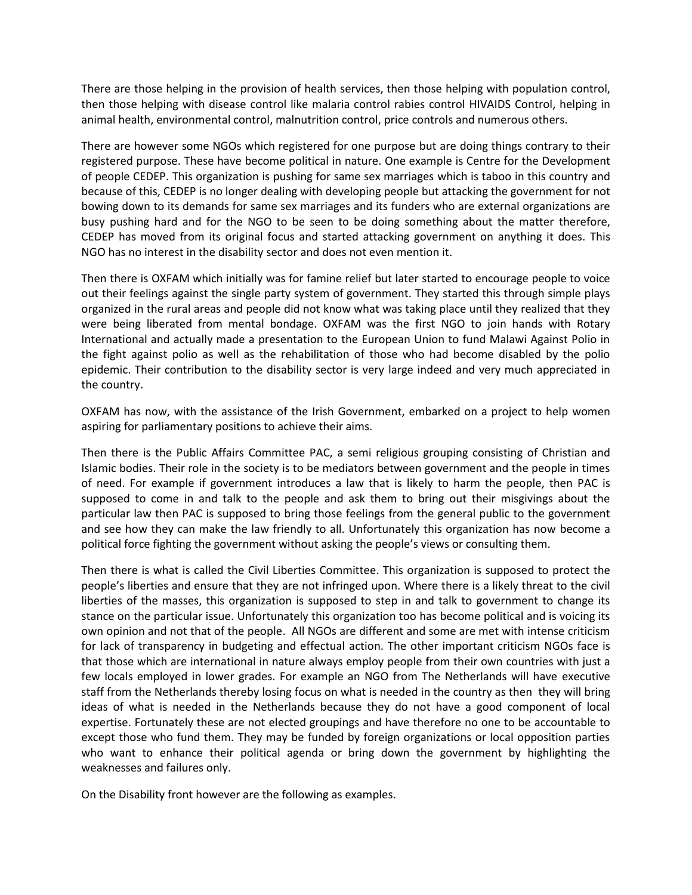There are those helping in the provision of health services, then those helping with population control, then those helping with disease control like malaria control rabies control HIVAIDS Control, helping in animal health, environmental control, malnutrition control, price controls and numerous others.

There are however some NGOs which registered for one purpose but are doing things contrary to their registered purpose. These have become political in nature. One example is Centre for the Development of people CEDEP. This organization is pushing for same sex marriages which is taboo in this country and because of this, CEDEP is no longer dealing with developing people but attacking the government for not bowing down to its demands for same sex marriages and its funders who are external organizations are busy pushing hard and for the NGO to be seen to be doing something about the matter therefore, CEDEP has moved from its original focus and started attacking government on anything it does. This NGO has no interest in the disability sector and does not even mention it.

Then there is OXFAM which initially was for famine relief but later started to encourage people to voice out their feelings against the single party system of government. They started this through simple plays organized in the rural areas and people did not know what was taking place until they realized that they were being liberated from mental bondage. OXFAM was the first NGO to join hands with Rotary International and actually made a presentation to the European Union to fund Malawi Against Polio in the fight against polio as well as the rehabilitation of those who had become disabled by the polio epidemic. Their contribution to the disability sector is very large indeed and very much appreciated in the country.

OXFAM has now, with the assistance of the Irish Government, embarked on a project to help women aspiring for parliamentary positions to achieve their aims.

Then there is the Public Affairs Committee PAC, a semi religious grouping consisting of Christian and Islamic bodies. Their role in the society is to be mediators between government and the people in times of need. For example if government introduces a law that is likely to harm the people, then PAC is supposed to come in and talk to the people and ask them to bring out their misgivings about the particular law then PAC is supposed to bring those feelings from the general public to the government and see how they can make the law friendly to all. Unfortunately this organization has now become a political force fighting the government without asking the people's views or consulting them.

Then there is what is called the Civil Liberties Committee. This organization is supposed to protect the people's liberties and ensure that they are not infringed upon. Where there is a likely threat to the civil liberties of the masses, this organization is supposed to step in and talk to government to change its stance on the particular issue. Unfortunately this organization too has become political and is voicing its own opinion and not that of the people. All NGOs are different and some are met with intense criticism for lack of transparency in budgeting and effectual action. The other important criticism NGOs face is that those which are international in nature always employ people from their own countries with just a few locals employed in lower grades. For example an NGO from The Netherlands will have executive staff from the Netherlands thereby losing focus on what is needed in the country as then they will bring ideas of what is needed in the Netherlands because they do not have a good component of local expertise. Fortunately these are not elected groupings and have therefore no one to be accountable to except those who fund them. They may be funded by foreign organizations or local opposition parties who want to enhance their political agenda or bring down the government by highlighting the weaknesses and failures only.

On the Disability front however are the following as examples.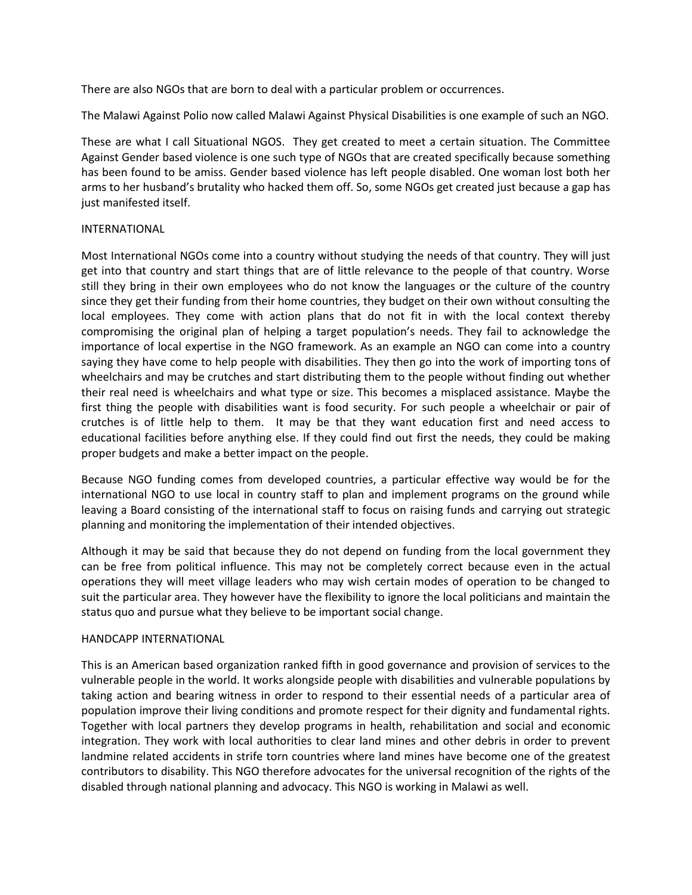There are also NGOs that are born to deal with a particular problem or occurrences.

The Malawi Against Polio now called Malawi Against Physical Disabilities is one example of such an NGO.

These are what I call Situational NGOS. They get created to meet a certain situation. The Committee Against Gender based violence is one such type of NGOs that are created specifically because something has been found to be amiss. Gender based violence has left people disabled. One woman lost both her arms to her husband's brutality who hacked them off. So, some NGOs get created just because a gap has just manifested itself.

# INTERNATIONAL

Most International NGOs come into a country without studying the needs of that country. They will just get into that country and start things that are of little relevance to the people of that country. Worse still they bring in their own employees who do not know the languages or the culture of the country since they get their funding from their home countries, they budget on their own without consulting the local employees. They come with action plans that do not fit in with the local context thereby compromising the original plan of helping a target population's needs. They fail to acknowledge the importance of local expertise in the NGO framework. As an example an NGO can come into a country saying they have come to help people with disabilities. They then go into the work of importing tons of wheelchairs and may be crutches and start distributing them to the people without finding out whether their real need is wheelchairs and what type or size. This becomes a misplaced assistance. Maybe the first thing the people with disabilities want is food security. For such people a wheelchair or pair of crutches is of little help to them. It may be that they want education first and need access to educational facilities before anything else. If they could find out first the needs, they could be making proper budgets and make a better impact on the people.

Because NGO funding comes from developed countries, a particular effective way would be for the international NGO to use local in country staff to plan and implement programs on the ground while leaving a Board consisting of the international staff to focus on raising funds and carrying out strategic planning and monitoring the implementation of their intended objectives.

Although it may be said that because they do not depend on funding from the local government they can be free from political influence. This may not be completely correct because even in the actual operations they will meet village leaders who may wish certain modes of operation to be changed to suit the particular area. They however have the flexibility to ignore the local politicians and maintain the status quo and pursue what they believe to be important social change.

# HANDCAPP INTERNATIONAL

This is an American based organization ranked fifth in good governance and provision of services to the vulnerable people in the world. It works alongside people with disabilities and vulnerable populations by taking action and bearing witness in order to respond to their essential needs of a particular area of population improve their living conditions and promote respect for their dignity and fundamental rights. Together with local partners they develop programs in health, rehabilitation and social and economic integration. They work with local authorities to clear land mines and other debris in order to prevent landmine related accidents in strife torn countries where land mines have become one of the greatest contributors to disability. This NGO therefore advocates for the universal recognition of the rights of the disabled through national planning and advocacy. This NGO is working in Malawi as well.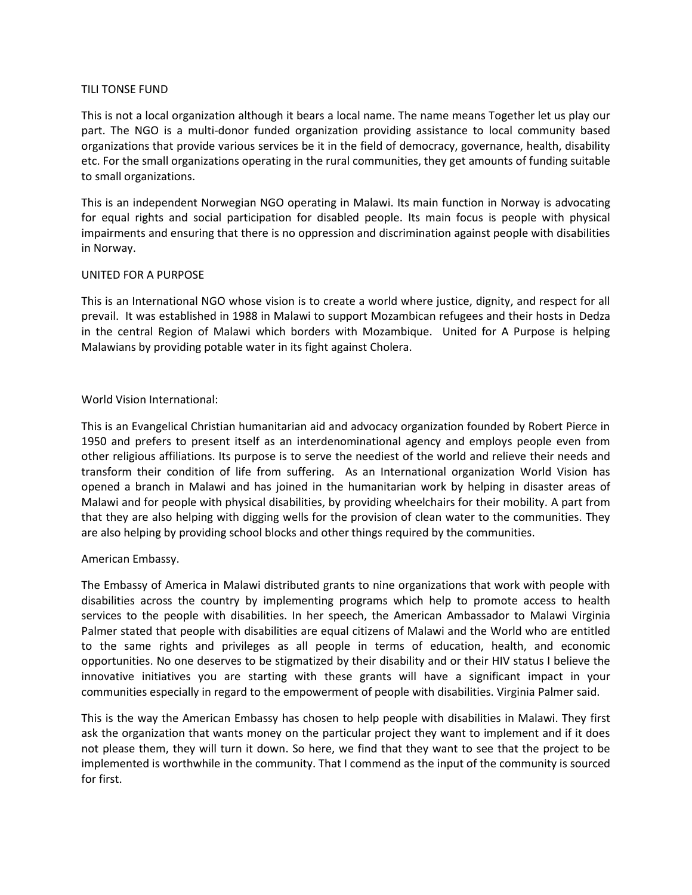# TILI TONSE FUND

This is not a local organization although it bears a local name. The name means Together let us play our part. The NGO is a multi-donor funded organization providing assistance to local community based organizations that provide various services be it in the field of democracy, governance, health, disability etc. For the small organizations operating in the rural communities, they get amounts of funding suitable to small organizations.

This is an independent Norwegian NGO operating in Malawi. Its main function in Norway is advocating for equal rights and social participation for disabled people. Its main focus is people with physical impairments and ensuring that there is no oppression and discrimination against people with disabilities in Norway.

# UNITED FOR A PURPOSE

This is an International NGO whose vision is to create a world where justice, dignity, and respect for all prevail. It was established in 1988 in Malawi to support Mozambican refugees and their hosts in Dedza in the central Region of Malawi which borders with Mozambique. United for A Purpose is helping Malawians by providing potable water in its fight against Cholera.

# World Vision International:

This is an Evangelical Christian humanitarian aid and advocacy organization founded by Robert Pierce in 1950 and prefers to present itself as an interdenominational agency and employs people even from other religious affiliations. Its purpose is to serve the neediest of the world and relieve their needs and transform their condition of life from suffering. As an International organization World Vision has opened a branch in Malawi and has joined in the humanitarian work by helping in disaster areas of Malawi and for people with physical disabilities, by providing wheelchairs for their mobility. A part from that they are also helping with digging wells for the provision of clean water to the communities. They are also helping by providing school blocks and other things required by the communities.

# American Embassy.

The Embassy of America in Malawi distributed grants to nine organizations that work with people with disabilities across the country by implementing programs which help to promote access to health services to the people with disabilities. In her speech, the American Ambassador to Malawi Virginia Palmer stated that people with disabilities are equal citizens of Malawi and the World who are entitled to the same rights and privileges as all people in terms of education, health, and economic opportunities. No one deserves to be stigmatized by their disability and or their HIV status I believe the innovative initiatives you are starting with these grants will have a significant impact in your communities especially in regard to the empowerment of people with disabilities. Virginia Palmer said.

This is the way the American Embassy has chosen to help people with disabilities in Malawi. They first ask the organization that wants money on the particular project they want to implement and if it does not please them, they will turn it down. So here, we find that they want to see that the project to be implemented is worthwhile in the community. That I commend as the input of the community is sourced for first.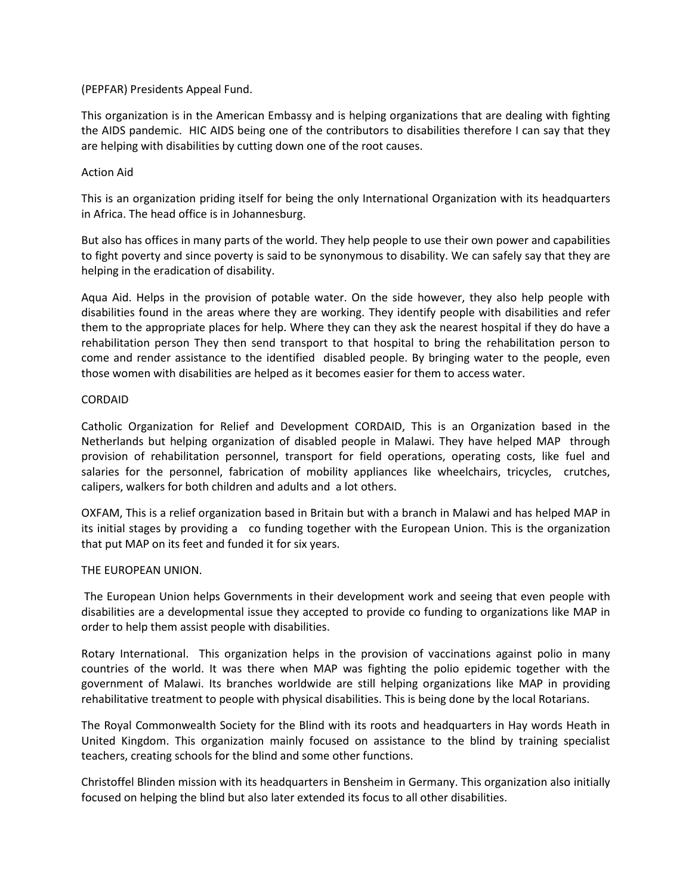# (PEPFAR) Presidents Appeal Fund.

This organization is in the American Embassy and is helping organizations that are dealing with fighting the AIDS pandemic. HIC AIDS being one of the contributors to disabilities therefore I can say that they are helping with disabilities by cutting down one of the root causes.

# Action Aid

This is an organization priding itself for being the only International Organization with its headquarters in Africa. The head office is in Johannesburg.

But also has offices in many parts of the world. They help people to use their own power and capabilities to fight poverty and since poverty is said to be synonymous to disability. We can safely say that they are helping in the eradication of disability.

Aqua Aid. Helps in the provision of potable water. On the side however, they also help people with disabilities found in the areas where they are working. They identify people with disabilities and refer them to the appropriate places for help. Where they can they ask the nearest hospital if they do have a rehabilitation person They then send transport to that hospital to bring the rehabilitation person to come and render assistance to the identified disabled people. By bringing water to the people, even those women with disabilities are helped as it becomes easier for them to access water.

# CORDAID

Catholic Organization for Relief and Development CORDAID, This is an Organization based in the Netherlands but helping organization of disabled people in Malawi. They have helped MAP through provision of rehabilitation personnel, transport for field operations, operating costs, like fuel and salaries for the personnel, fabrication of mobility appliances like wheelchairs, tricycles, crutches, calipers, walkers for both children and adults and a lot others.

OXFAM, This is a relief organization based in Britain but with a branch in Malawi and has helped MAP in its initial stages by providing a co funding together with the European Union. This is the organization that put MAP on its feet and funded it for six years.

#### THE EUROPEAN UNION.

The European Union helps Governments in their development work and seeing that even people with disabilities are a developmental issue they accepted to provide co funding to organizations like MAP in order to help them assist people with disabilities.

Rotary International. This organization helps in the provision of vaccinations against polio in many countries of the world. It was there when MAP was fighting the polio epidemic together with the government of Malawi. Its branches worldwide are still helping organizations like MAP in providing rehabilitative treatment to people with physical disabilities. This is being done by the local Rotarians.

The Royal Commonwealth Society for the Blind with its roots and headquarters in Hay words Heath in United Kingdom. This organization mainly focused on assistance to the blind by training specialist teachers, creating schools for the blind and some other functions.

Christoffel Blinden mission with its headquarters in Bensheim in Germany. This organization also initially focused on helping the blind but also later extended its focus to all other disabilities.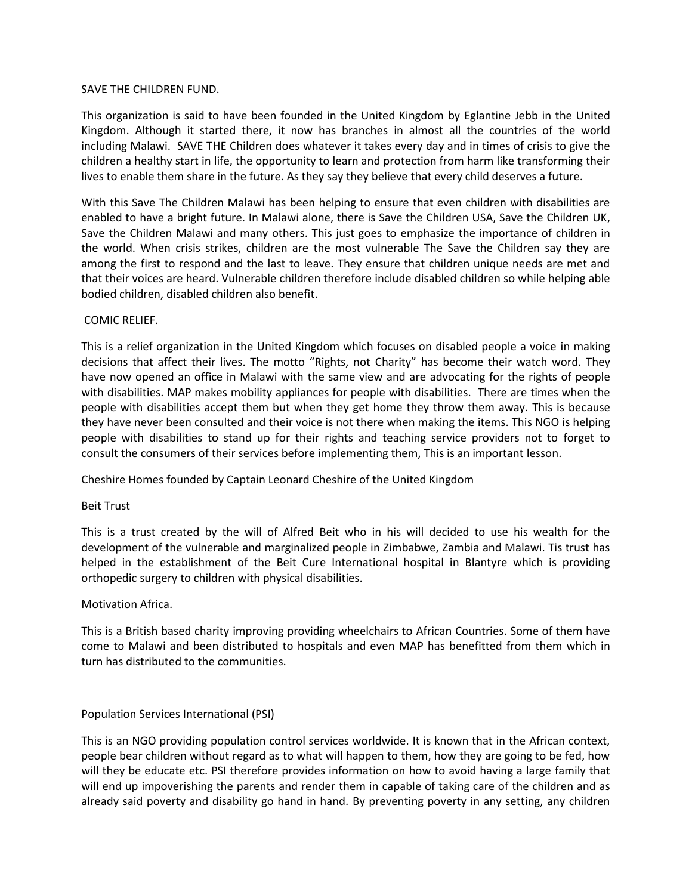#### SAVE THE CHILDREN FUND.

This organization is said to have been founded in the United Kingdom by Eglantine Jebb in the United Kingdom. Although it started there, it now has branches in almost all the countries of the world including Malawi. SAVE THE Children does whatever it takes every day and in times of crisis to give the children a healthy start in life, the opportunity to learn and protection from harm like transforming their lives to enable them share in the future. As they say they believe that every child deserves a future.

With this Save The Children Malawi has been helping to ensure that even children with disabilities are enabled to have a bright future. In Malawi alone, there is Save the Children USA, Save the Children UK, Save the Children Malawi and many others. This just goes to emphasize the importance of children in the world. When crisis strikes, children are the most vulnerable The Save the Children say they are among the first to respond and the last to leave. They ensure that children unique needs are met and that their voices are heard. Vulnerable children therefore include disabled children so while helping able bodied children, disabled children also benefit.

# COMIC RELIEF.

This is a relief organization in the United Kingdom which focuses on disabled people a voice in making decisions that affect their lives. The motto "Rights, not Charity" has become their watch word. They have now opened an office in Malawi with the same view and are advocating for the rights of people with disabilities. MAP makes mobility appliances for people with disabilities. There are times when the people with disabilities accept them but when they get home they throw them away. This is because they have never been consulted and their voice is not there when making the items. This NGO is helping people with disabilities to stand up for their rights and teaching service providers not to forget to consult the consumers of their services before implementing them, This is an important lesson.

Cheshire Homes founded by Captain Leonard Cheshire of the United Kingdom

# Beit Trust

This is a trust created by the will of Alfred Beit who in his will decided to use his wealth for the development of the vulnerable and marginalized people in Zimbabwe, Zambia and Malawi. Tis trust has helped in the establishment of the Beit Cure International hospital in Blantyre which is providing orthopedic surgery to children with physical disabilities.

#### Motivation Africa.

This is a British based charity improving providing wheelchairs to African Countries. Some of them have come to Malawi and been distributed to hospitals and even MAP has benefitted from them which in turn has distributed to the communities.

#### Population Services International (PSI)

This is an NGO providing population control services worldwide. It is known that in the African context, people bear children without regard as to what will happen to them, how they are going to be fed, how will they be educate etc. PSI therefore provides information on how to avoid having a large family that will end up impoverishing the parents and render them in capable of taking care of the children and as already said poverty and disability go hand in hand. By preventing poverty in any setting, any children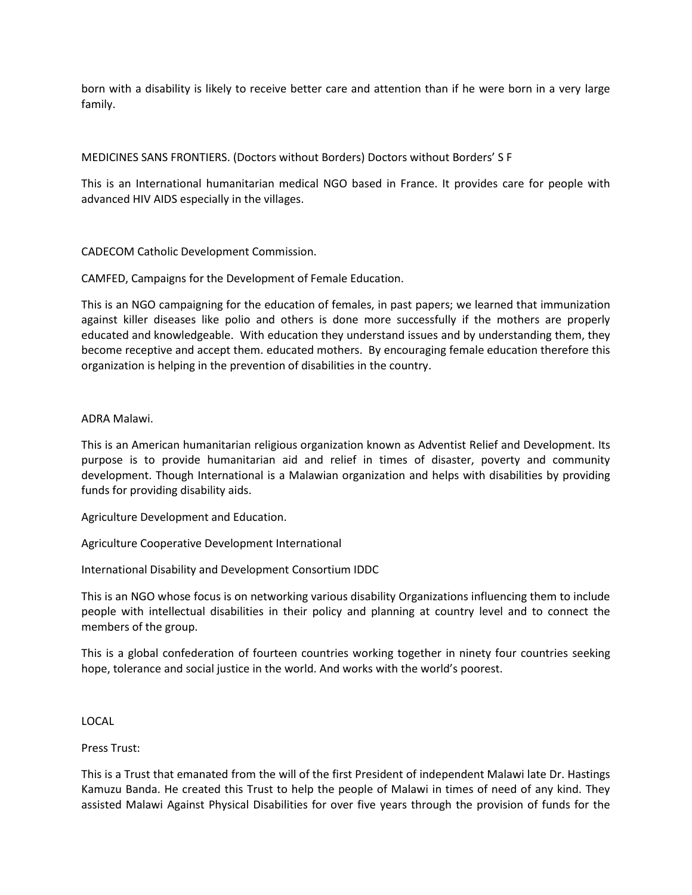born with a disability is likely to receive better care and attention than if he were born in a very large family.

# MEDICINES SANS FRONTIERS. (Doctors without Borders) Doctors without Borders' S F

This is an International humanitarian medical NGO based in France. It provides care for people with advanced HIV AIDS especially in the villages.

CADECOM Catholic Development Commission.

CAMFED, Campaigns for the Development of Female Education.

This is an NGO campaigning for the education of females, in past papers; we learned that immunization against killer diseases like polio and others is done more successfully if the mothers are properly educated and knowledgeable. With education they understand issues and by understanding them, they become receptive and accept them. educated mothers. By encouraging female education therefore this organization is helping in the prevention of disabilities in the country.

# ADRA Malawi.

This is an American humanitarian religious organization known as Adventist Relief and Development. Its purpose is to provide humanitarian aid and relief in times of disaster, poverty and community development. Though International is a Malawian organization and helps with disabilities by providing funds for providing disability aids.

Agriculture Development and Education.

Agriculture Cooperative Development International

International Disability and Development Consortium IDDC

This is an NGO whose focus is on networking various disability Organizations influencing them to include people with intellectual disabilities in their policy and planning at country level and to connect the members of the group.

This is a global confederation of fourteen countries working together in ninety four countries seeking hope, tolerance and social justice in the world. And works with the world's poorest.

LOCAL

Press Trust:

This is a Trust that emanated from the will of the first President of independent Malawi late Dr. Hastings Kamuzu Banda. He created this Trust to help the people of Malawi in times of need of any kind. They assisted Malawi Against Physical Disabilities for over five years through the provision of funds for the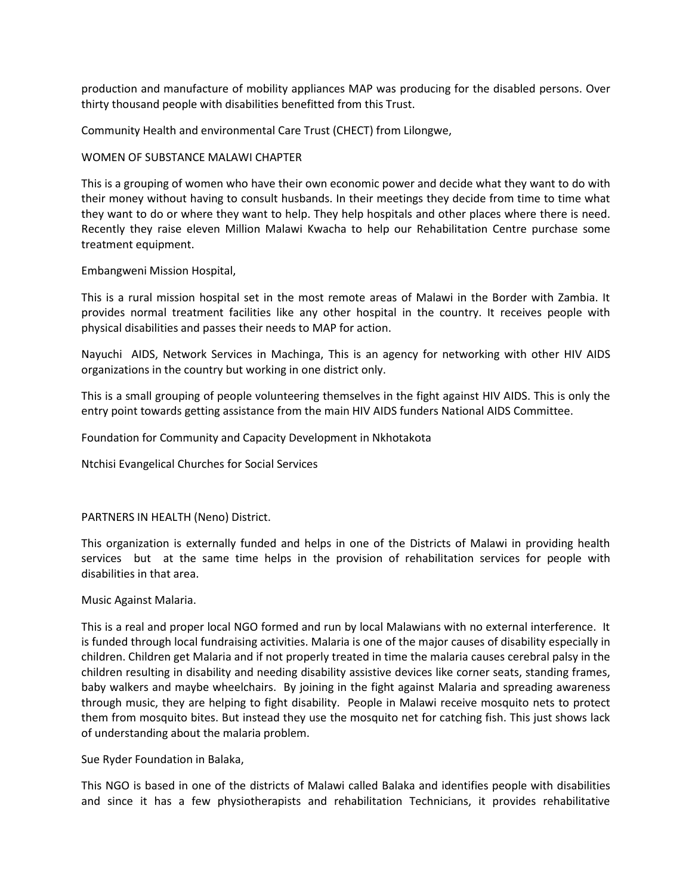production and manufacture of mobility appliances MAP was producing for the disabled persons. Over thirty thousand people with disabilities benefitted from this Trust.

Community Health and environmental Care Trust (CHECT) from Lilongwe,

# WOMEN OF SUBSTANCE MALAWI CHAPTER

This is a grouping of women who have their own economic power and decide what they want to do with their money without having to consult husbands. In their meetings they decide from time to time what they want to do or where they want to help. They help hospitals and other places where there is need. Recently they raise eleven Million Malawi Kwacha to help our Rehabilitation Centre purchase some treatment equipment.

# Embangweni Mission Hospital,

This is a rural mission hospital set in the most remote areas of Malawi in the Border with Zambia. It provides normal treatment facilities like any other hospital in the country. It receives people with physical disabilities and passes their needs to MAP for action.

Nayuchi AIDS, Network Services in Machinga, This is an agency for networking with other HIV AIDS organizations in the country but working in one district only.

This is a small grouping of people volunteering themselves in the fight against HIV AIDS. This is only the entry point towards getting assistance from the main HIV AIDS funders National AIDS Committee.

Foundation for Community and Capacity Development in Nkhotakota

Ntchisi Evangelical Churches for Social Services

#### PARTNERS IN HEALTH (Neno) District.

This organization is externally funded and helps in one of the Districts of Malawi in providing health services but at the same time helps in the provision of rehabilitation services for people with disabilities in that area.

#### Music Against Malaria.

This is a real and proper local NGO formed and run by local Malawians with no external interference. It is funded through local fundraising activities. Malaria is one of the major causes of disability especially in children. Children get Malaria and if not properly treated in time the malaria causes cerebral palsy in the children resulting in disability and needing disability assistive devices like corner seats, standing frames, baby walkers and maybe wheelchairs. By joining in the fight against Malaria and spreading awareness through music, they are helping to fight disability. People in Malawi receive mosquito nets to protect them from mosquito bites. But instead they use the mosquito net for catching fish. This just shows lack of understanding about the malaria problem.

Sue Ryder Foundation in Balaka,

This NGO is based in one of the districts of Malawi called Balaka and identifies people with disabilities and since it has a few physiotherapists and rehabilitation Technicians, it provides rehabilitative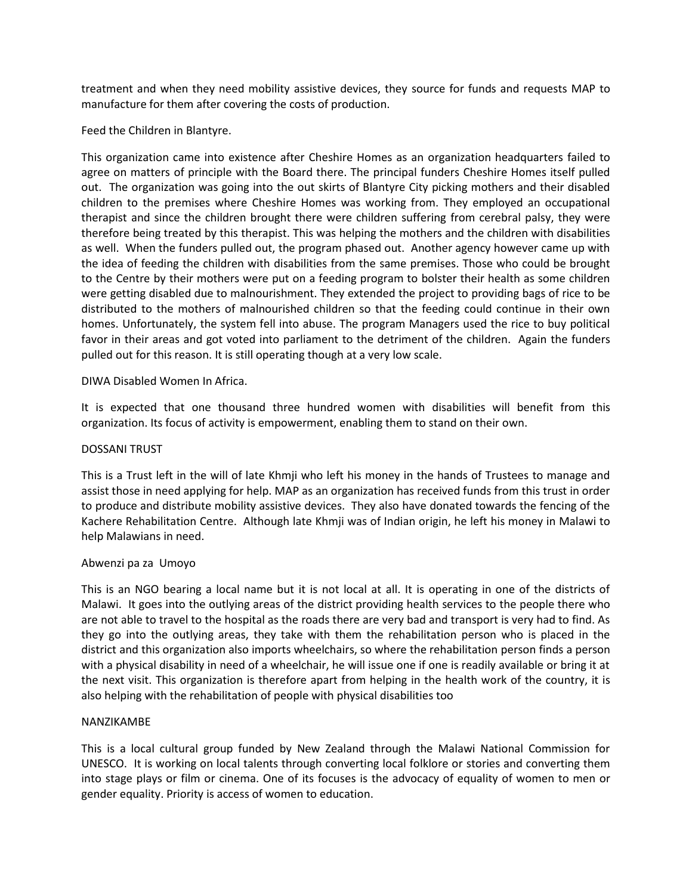treatment and when they need mobility assistive devices, they source for funds and requests MAP to manufacture for them after covering the costs of production.

# Feed the Children in Blantyre.

This organization came into existence after Cheshire Homes as an organization headquarters failed to agree on matters of principle with the Board there. The principal funders Cheshire Homes itself pulled out. The organization was going into the out skirts of Blantyre City picking mothers and their disabled children to the premises where Cheshire Homes was working from. They employed an occupational therapist and since the children brought there were children suffering from cerebral palsy, they were therefore being treated by this therapist. This was helping the mothers and the children with disabilities as well. When the funders pulled out, the program phased out. Another agency however came up with the idea of feeding the children with disabilities from the same premises. Those who could be brought to the Centre by their mothers were put on a feeding program to bolster their health as some children were getting disabled due to malnourishment. They extended the project to providing bags of rice to be distributed to the mothers of malnourished children so that the feeding could continue in their own homes. Unfortunately, the system fell into abuse. The program Managers used the rice to buy political favor in their areas and got voted into parliament to the detriment of the children. Again the funders pulled out for this reason. It is still operating though at a very low scale.

# DIWA Disabled Women In Africa.

It is expected that one thousand three hundred women with disabilities will benefit from this organization. Its focus of activity is empowerment, enabling them to stand on their own.

#### DOSSANI TRUST

This is a Trust left in the will of late Khmji who left his money in the hands of Trustees to manage and assist those in need applying for help. MAP as an organization has received funds from this trust in order to produce and distribute mobility assistive devices. They also have donated towards the fencing of the Kachere Rehabilitation Centre. Although late Khmji was of Indian origin, he left his money in Malawi to help Malawians in need.

#### Abwenzi pa za Umoyo

This is an NGO bearing a local name but it is not local at all. It is operating in one of the districts of Malawi. It goes into the outlying areas of the district providing health services to the people there who are not able to travel to the hospital as the roads there are very bad and transport is very had to find. As they go into the outlying areas, they take with them the rehabilitation person who is placed in the district and this organization also imports wheelchairs, so where the rehabilitation person finds a person with a physical disability in need of a wheelchair, he will issue one if one is readily available or bring it at the next visit. This organization is therefore apart from helping in the health work of the country, it is also helping with the rehabilitation of people with physical disabilities too

#### NANZIKAMBE

This is a local cultural group funded by New Zealand through the Malawi National Commission for UNESCO. It is working on local talents through converting local folklore or stories and converting them into stage plays or film or cinema. One of its focuses is the advocacy of equality of women to men or gender equality. Priority is access of women to education.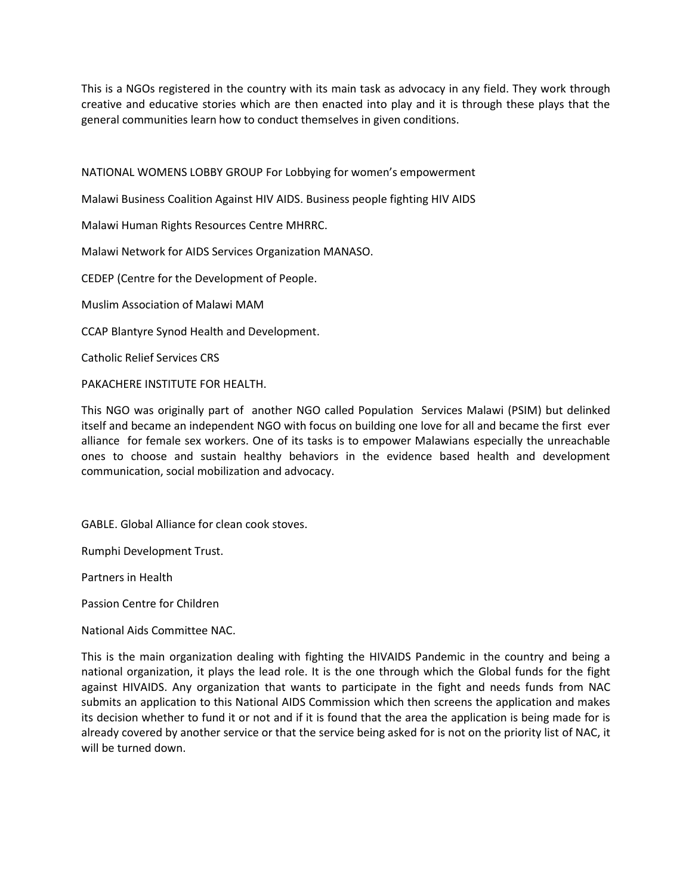This is a NGOs registered in the country with its main task as advocacy in any field. They work through creative and educative stories which are then enacted into play and it is through these plays that the general communities learn how to conduct themselves in given conditions.

NATIONAL WOMENS LOBBY GROUP For Lobbying for women's empowerment

Malawi Business Coalition Against HIV AIDS. Business people fighting HIV AIDS

Malawi Human Rights Resources Centre MHRRC.

Malawi Network for AIDS Services Organization MANASO.

CEDEP (Centre for the Development of People.

Muslim Association of Malawi MAM

CCAP Blantyre Synod Health and Development.

Catholic Relief Services CRS

PAKACHERE INSTITUTE FOR HEALTH.

This NGO was originally part of another NGO called Population Services Malawi (PSIM) but delinked itself and became an independent NGO with focus on building one love for all and became the first ever alliance for female sex workers. One of its tasks is to empower Malawians especially the unreachable ones to choose and sustain healthy behaviors in the evidence based health and development communication, social mobilization and advocacy.

GABLE. Global Alliance for clean cook stoves.

Rumphi Development Trust.

Partners in Health

Passion Centre for Children

National Aids Committee NAC.

This is the main organization dealing with fighting the HIVAIDS Pandemic in the country and being a national organization, it plays the lead role. It is the one through which the Global funds for the fight against HIVAIDS. Any organization that wants to participate in the fight and needs funds from NAC submits an application to this National AIDS Commission which then screens the application and makes its decision whether to fund it or not and if it is found that the area the application is being made for is already covered by another service or that the service being asked for is not on the priority list of NAC, it will be turned down.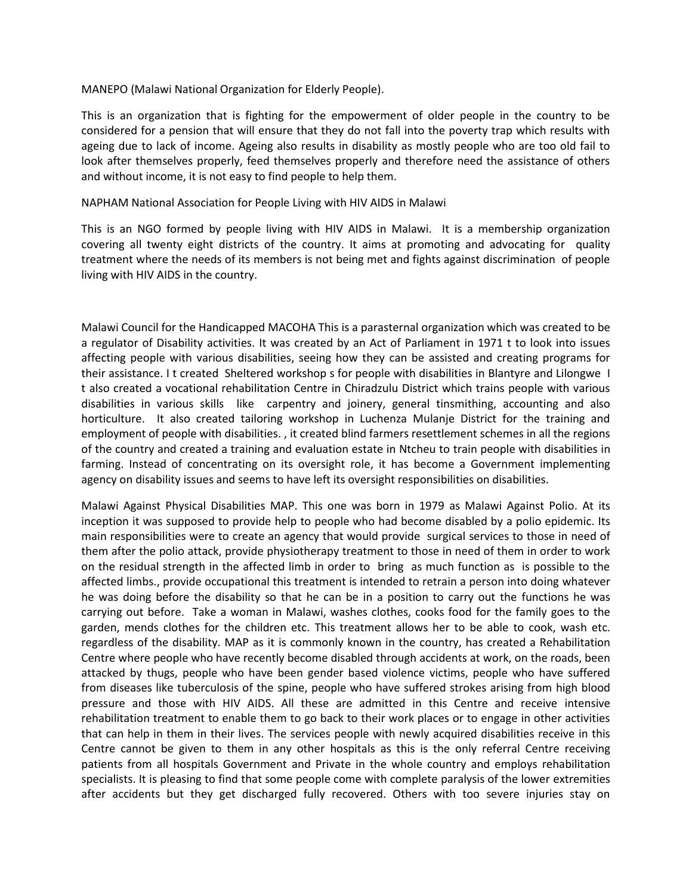MANEPO (Malawi National Organization for Elderly People).

This is an organization that is fighting for the empowerment of older people in the country to be considered for a pension that will ensure that they do not fall into the poverty trap which results with ageing due to lack of income. Ageing also results in disability as mostly people who are too old fail to look after themselves properly, feed themselves properly and therefore need the assistance of others and without income, it is not easy to find people to help them.

# NAPHAM National Association for People Living with HIV AIDS in Malawi

This is an NGO formed by people living with HIV AIDS in Malawi. It is a membership organization covering all twenty eight districts of the country. It aims at promoting and advocating for quality treatment where the needs of its members is not being met and fights against discrimination of people living with HIV AIDS in the country.

Malawi Council for the Handicapped MACOHA This is a parasternal organization which was created to be a regulator of Disability activities. It was created by an Act of Parliament in 1971 t to look into issues affecting people with various disabilities, seeing how they can be assisted and creating programs for their assistance. I t created Sheltered workshop s for people with disabilities in Blantyre and Lilongwe I t also created a vocational rehabilitation Centre in Chiradzulu District which trains people with various disabilities in various skills like carpentry and joinery, general tinsmithing, accounting and also horticulture. It also created tailoring workshop in Luchenza Mulanje District for the training and employment of people with disabilities. , it created blind farmers resettlement schemes in all the regions of the country and created a training and evaluation estate in Ntcheu to train people with disabilities in farming. Instead of concentrating on its oversight role, it has become a Government implementing agency on disability issues and seems to have left its oversight responsibilities on disabilities.

Malawi Against Physical Disabilities MAP. This one was born in 1979 as Malawi Against Polio. At its inception it was supposed to provide help to people who had become disabled by a polio epidemic. Its main responsibilities were to create an agency that would provide surgical services to those in need of them after the polio attack, provide physiotherapy treatment to those in need of them in order to work on the residual strength in the affected limb in order to bring as much function as is possible to the affected limbs., provide occupational this treatment is intended to retrain a person into doing whatever he was doing before the disability so that he can be in a position to carry out the functions he was carrying out before. Take a woman in Malawi, washes clothes, cooks food for the family goes to the garden, mends clothes for the children etc. This treatment allows her to be able to cook, wash etc. regardless of the disability. MAP as it is commonly known in the country, has created a Rehabilitation Centre where people who have recently become disabled through accidents at work, on the roads, been attacked by thugs, people who have been gender based violence victims, people who have suffered from diseases like tuberculosis of the spine, people who have suffered strokes arising from high blood pressure and those with HIV AIDS. All these are admitted in this Centre and receive intensive rehabilitation treatment to enable them to go back to their work places or to engage in other activities that can help in them in their lives. The services people with newly acquired disabilities receive in this Centre cannot be given to them in any other hospitals as this is the only referral Centre receiving patients from all hospitals Government and Private in the whole country and employs rehabilitation specialists. It is pleasing to find that some people come with complete paralysis of the lower extremities after accidents but they get discharged fully recovered. Others with too severe injuries stay on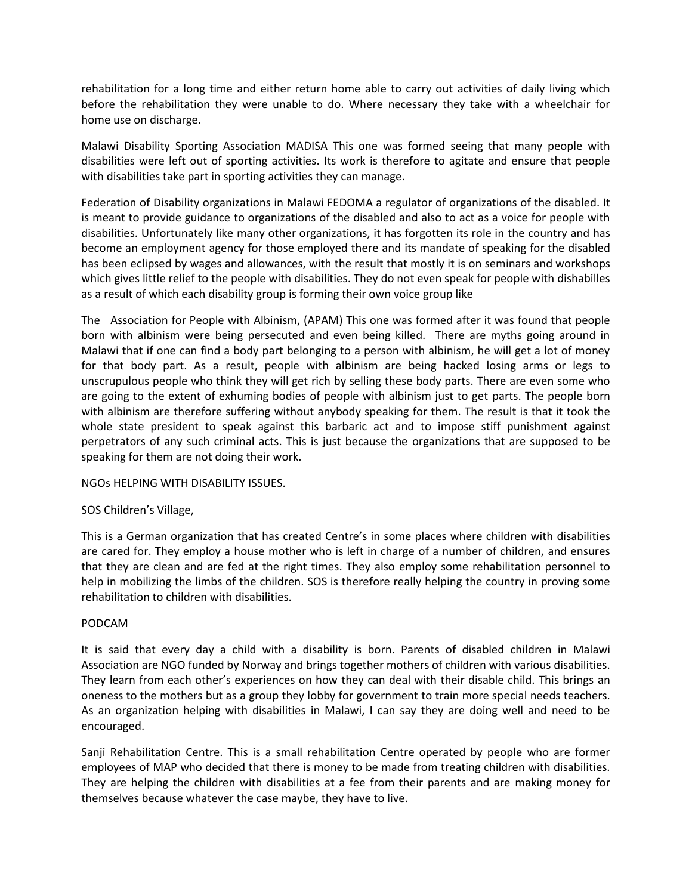rehabilitation for a long time and either return home able to carry out activities of daily living which before the rehabilitation they were unable to do. Where necessary they take with a wheelchair for home use on discharge.

Malawi Disability Sporting Association MADISA This one was formed seeing that many people with disabilities were left out of sporting activities. Its work is therefore to agitate and ensure that people with disabilities take part in sporting activities they can manage.

Federation of Disability organizations in Malawi FEDOMA a regulator of organizations of the disabled. It is meant to provide guidance to organizations of the disabled and also to act as a voice for people with disabilities. Unfortunately like many other organizations, it has forgotten its role in the country and has become an employment agency for those employed there and its mandate of speaking for the disabled has been eclipsed by wages and allowances, with the result that mostly it is on seminars and workshops which gives little relief to the people with disabilities. They do not even speak for people with dishabilles as a result of which each disability group is forming their own voice group like

The Association for People with Albinism, (APAM) This one was formed after it was found that people born with albinism were being persecuted and even being killed. There are myths going around in Malawi that if one can find a body part belonging to a person with albinism, he will get a lot of money for that body part. As a result, people with albinism are being hacked losing arms or legs to unscrupulous people who think they will get rich by selling these body parts. There are even some who are going to the extent of exhuming bodies of people with albinism just to get parts. The people born with albinism are therefore suffering without anybody speaking for them. The result is that it took the whole state president to speak against this barbaric act and to impose stiff punishment against perpetrators of any such criminal acts. This is just because the organizations that are supposed to be speaking for them are not doing their work.

NGOs HELPING WITH DISABILITY ISSUES.

# SOS Children's Village,

This is a German organization that has created Centre's in some places where children with disabilities are cared for. They employ a house mother who is left in charge of a number of children, and ensures that they are clean and are fed at the right times. They also employ some rehabilitation personnel to help in mobilizing the limbs of the children. SOS is therefore really helping the country in proving some rehabilitation to children with disabilities.

# PODCAM

It is said that every day a child with a disability is born. Parents of disabled children in Malawi Association are NGO funded by Norway and brings together mothers of children with various disabilities. They learn from each other's experiences on how they can deal with their disable child. This brings an oneness to the mothers but as a group they lobby for government to train more special needs teachers. As an organization helping with disabilities in Malawi, I can say they are doing well and need to be encouraged.

Sanji Rehabilitation Centre. This is a small rehabilitation Centre operated by people who are former employees of MAP who decided that there is money to be made from treating children with disabilities. They are helping the children with disabilities at a fee from their parents and are making money for themselves because whatever the case maybe, they have to live.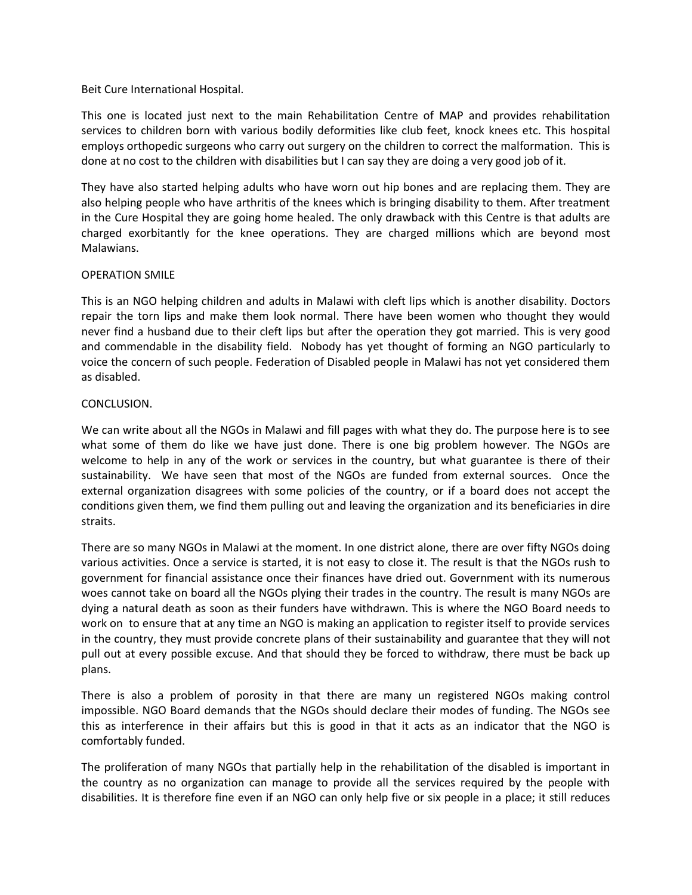# Beit Cure International Hospital.

This one is located just next to the main Rehabilitation Centre of MAP and provides rehabilitation services to children born with various bodily deformities like club feet, knock knees etc. This hospital employs orthopedic surgeons who carry out surgery on the children to correct the malformation. This is done at no cost to the children with disabilities but I can say they are doing a very good job of it.

They have also started helping adults who have worn out hip bones and are replacing them. They are also helping people who have arthritis of the knees which is bringing disability to them. After treatment in the Cure Hospital they are going home healed. The only drawback with this Centre is that adults are charged exorbitantly for the knee operations. They are charged millions which are beyond most Malawians.

#### OPERATION SMILE

This is an NGO helping children and adults in Malawi with cleft lips which is another disability. Doctors repair the torn lips and make them look normal. There have been women who thought they would never find a husband due to their cleft lips but after the operation they got married. This is very good and commendable in the disability field. Nobody has yet thought of forming an NGO particularly to voice the concern of such people. Federation of Disabled people in Malawi has not yet considered them as disabled.

# CONCLUSION.

We can write about all the NGOs in Malawi and fill pages with what they do. The purpose here is to see what some of them do like we have just done. There is one big problem however. The NGOs are welcome to help in any of the work or services in the country, but what guarantee is there of their sustainability. We have seen that most of the NGOs are funded from external sources. Once the external organization disagrees with some policies of the country, or if a board does not accept the conditions given them, we find them pulling out and leaving the organization and its beneficiaries in dire straits.

There are so many NGOs in Malawi at the moment. In one district alone, there are over fifty NGOs doing various activities. Once a service is started, it is not easy to close it. The result is that the NGOs rush to government for financial assistance once their finances have dried out. Government with its numerous woes cannot take on board all the NGOs plying their trades in the country. The result is many NGOs are dying a natural death as soon as their funders have withdrawn. This is where the NGO Board needs to work on to ensure that at any time an NGO is making an application to register itself to provide services in the country, they must provide concrete plans of their sustainability and guarantee that they will not pull out at every possible excuse. And that should they be forced to withdraw, there must be back up plans.

There is also a problem of porosity in that there are many un registered NGOs making control impossible. NGO Board demands that the NGOs should declare their modes of funding. The NGOs see this as interference in their affairs but this is good in that it acts as an indicator that the NGO is comfortably funded.

The proliferation of many NGOs that partially help in the rehabilitation of the disabled is important in the country as no organization can manage to provide all the services required by the people with disabilities. It is therefore fine even if an NGO can only help five or six people in a place; it still reduces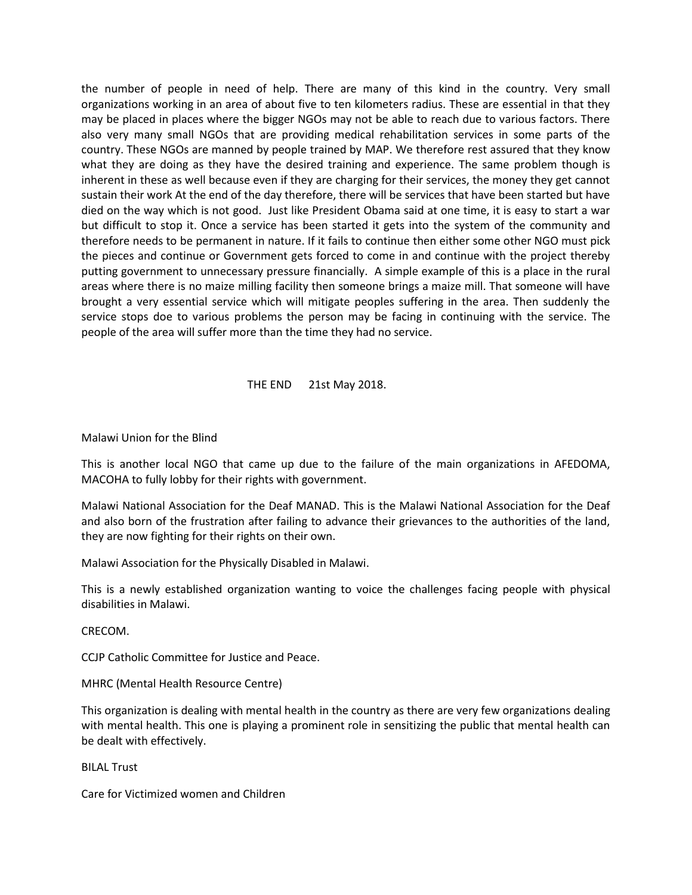the number of people in need of help. There are many of this kind in the country. Very small organizations working in an area of about five to ten kilometers radius. These are essential in that they may be placed in places where the bigger NGOs may not be able to reach due to various factors. There also very many small NGOs that are providing medical rehabilitation services in some parts of the country. These NGOs are manned by people trained by MAP. We therefore rest assured that they know what they are doing as they have the desired training and experience. The same problem though is inherent in these as well because even if they are charging for their services, the money they get cannot sustain their work At the end of the day therefore, there will be services that have been started but have died on the way which is not good. Just like President Obama said at one time, it is easy to start a war but difficult to stop it. Once a service has been started it gets into the system of the community and therefore needs to be permanent in nature. If it fails to continue then either some other NGO must pick the pieces and continue or Government gets forced to come in and continue with the project thereby putting government to unnecessary pressure financially. A simple example of this is a place in the rural areas where there is no maize milling facility then someone brings a maize mill. That someone will have brought a very essential service which will mitigate peoples suffering in the area. Then suddenly the service stops doe to various problems the person may be facing in continuing with the service. The people of the area will suffer more than the time they had no service.

# THE END 21st May 2018.

#### Malawi Union for the Blind

This is another local NGO that came up due to the failure of the main organizations in AFEDOMA, MACOHA to fully lobby for their rights with government.

Malawi National Association for the Deaf MANAD. This is the Malawi National Association for the Deaf and also born of the frustration after failing to advance their grievances to the authorities of the land, they are now fighting for their rights on their own.

Malawi Association for the Physically Disabled in Malawi.

This is a newly established organization wanting to voice the challenges facing people with physical disabilities in Malawi.

CRECOM.

CCJP Catholic Committee for Justice and Peace.

MHRC (Mental Health Resource Centre)

This organization is dealing with mental health in the country as there are very few organizations dealing with mental health. This one is playing a prominent role in sensitizing the public that mental health can be dealt with effectively.

BILAL Trust

Care for Victimized women and Children